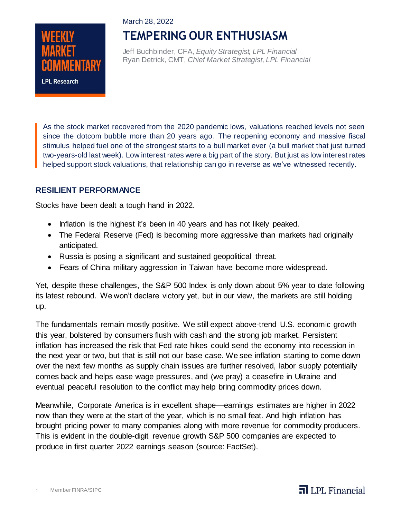#### March 28, 2022



# **TEMPERING OUR ENTHUSIASM**

Jeff Buchbinder, CFA, *Equity Strategist, LPL Financial* Ryan Detrick, CMT, *Chief Market Strategist, LPL Financial*

As the stock market recovered from the 2020 pandemic lows, valuations reached levels not seen since the dotcom bubble more than 20 years ago. The reopening economy and massive fiscal stimulus helped fuel one of the strongest starts to a bull market ever (a bull market that just turned two-years-old last week). Low interest rates were a big part of the story. But just as low interest rates helped support stock valuations, that relationship can go in reverse as we've witnessed recently.

### **RESILIENT PERFORMANCE**

Stocks have been dealt a tough hand in 2022.

- Inflation is the highest it's been in 40 years and has not likely peaked.
- The Federal Reserve (Fed) is becoming more aggressive than markets had originally anticipated.
- Russia is posing a significant and sustained geopolitical threat.
- Fears of China military aggression in Taiwan have become more widespread.

Yet, despite these challenges, the S&P 500 Index is only down about 5% year to date following its latest rebound. We won't declare victory yet, but in our view, the markets are still holding up.

The fundamentals remain mostly positive. We still expect above-trend U.S. economic growth this year, bolstered by consumers flush with cash and the strong job market. Persistent inflation has increased the risk that Fed rate hikes could send the economy into recession in the next year or two, but that is still not our base case. We see inflation starting to come down over the next few months as supply chain issues are further resolved, labor supply potentially comes back and helps ease wage pressures, and (we pray) a ceasefire in Ukraine and eventual peaceful resolution to the conflict may help bring commodity prices down.

Meanwhile, Corporate America is in excellent shape—earnings estimates are higher in 2022 now than they were at the start of the year, which is no small feat. And high inflation has brought pricing power to many companies along with more revenue for commodity producers. This is evident in the double-digit revenue growth S&P 500 companies are expected to produce in first quarter 2022 earnings season (source: FactSet).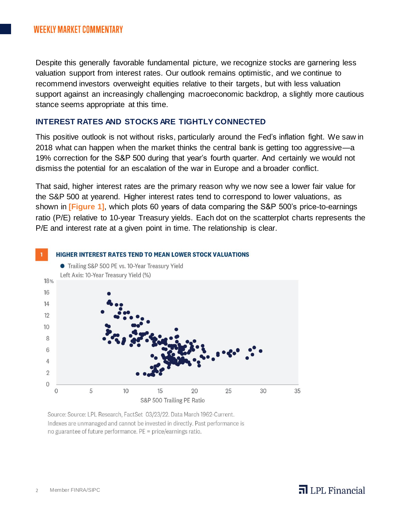Despite this generally favorable fundamental picture, we recognize stocks are garnering less valuation support from interest rates. Our outlook remains optimistic, and we continue to recommend investors overweight equities relative to their targets, but with less valuation support against an increasingly challenging macroeconomic backdrop, a slightly more cautious stance seems appropriate at this time.

#### **INTEREST RATES AND STOCKS ARE TIGHTLY CONNECTED**

This positive outlook is not without risks, particularly around the Fed's inflation fight. We saw in 2018 what can happen when the market thinks the central bank is getting too aggressive—a 19% correction for the S&P 500 during that year's fourth quarter. And certainly we would not dismiss the potential for an escalation of the war in Europe and a broader conflict.

That said, higher interest rates are the primary reason why we now see a lower fair value for the S&P 500 at yearend. Higher interest rates tend to correspond to lower valuations, as shown in **[Figure 1]**, which plots 60 years of data comparing the S&P 500's price-to-earnings ratio (P/E) relative to 10-year Treasury yields. Each dot on the scatterplot charts represents the P/E and interest rate at a given point in time. The relationship is clear.



Source: Source: LPL Research, FactSet 03/23/22. Data March 1962-Current. Indexes are unmanaged and cannot be invested in directly. Past performance is no guarantee of future performance. PE = price/earnings ratio.

## $\overline{\mathbf{d}}$  LPL Financial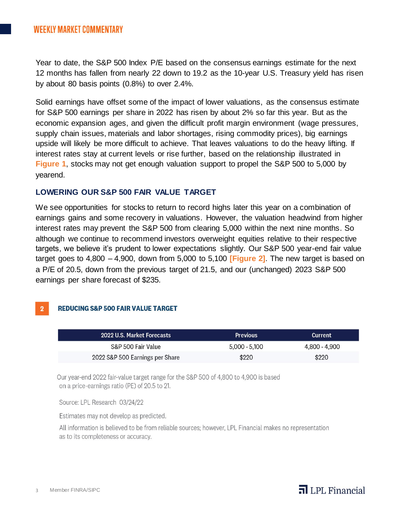Year to date, the S&P 500 Index P/E based on the consensus earnings estimate for the next 12 months has fallen from nearly 22 down to 19.2 as the 10-year U.S. Treasury yield has risen by about 80 basis points (0.8%) to over 2.4%.

Solid earnings have offset some of the impact of lower valuations, as the consensus estimate for S&P 500 earnings per share in 2022 has risen by about 2% so far this year. But as the economic expansion ages, and given the difficult profit margin environment (wage pressures, supply chain issues, materials and labor shortages, rising commodity prices), big earnings upside will likely be more difficult to achieve. That leaves valuations to do the heavy lifting. If interest rates stay at current levels or rise further, based on the relationship illustrated in **Figure 1**, stocks may not get enough valuation support to propel the S&P 500 to 5,000 by yearend.

#### **LOWERING OUR S&P 500 FAIR VALUE TARGET**

We see opportunities for stocks to return to record highs later this year on a combination of earnings gains and some recovery in valuations. However, the valuation headwind from higher interest rates may prevent the S&P 500 from clearing 5,000 within the next nine months. So although we continue to recommend investors overweight equities relative to their respective targets, we believe it's prudent to lower expectations slightly. Our S&P 500 year-end fair value target goes to 4,800 – 4,900, down from 5,000 to 5,100 **[Figure 2]**. The new target is based on a P/E of 20.5, down from the previous target of 21.5, and our (unchanged) 2023 S&P 500 earnings per share forecast of \$235.

#### **REDUCING S&P 500 FAIR VALUE TARGET**  $2<sup>2</sup>$

| 2022 U.S. Market Forecasts      | <b>Previous</b> | <b>Current</b> |
|---------------------------------|-----------------|----------------|
| S&P 500 Fair Value              | $5,000 - 5,100$ | 4,800 - 4,900  |
| 2022 S&P 500 Earnings per Share | \$220           | \$220          |

Our year-end 2022 fair-value target range for the S&P 500 of 4,800 to 4,900 is based on a price-earnings ratio (PE) of 20.5 to 21.

Source: LPL Research 03/24/22

Estimates may not develop as predicted.

All information is believed to be from reliable sources; however, LPL Financial makes no representation as to its completeness or accuracy.

### $\overline{\mathbf{d}}$  LPL Financial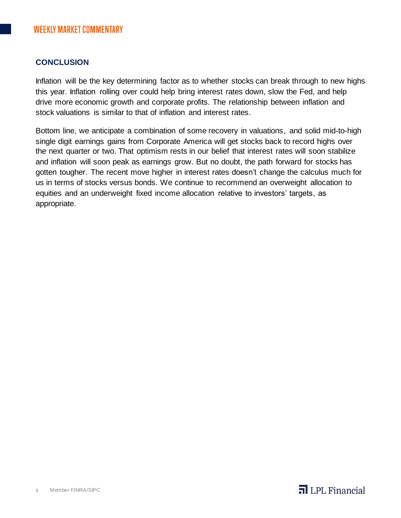### **CONCLUSION**

Inflation will be the key determining factor as to whether stocks can break through to new highs this year. Inflation rolling over could help bring interest rates down, slow the Fed, and help drive more economic growth and corporate profits. The relationship between inflation and stock valuations is similar to that of inflation and interest rates.

Bottom line, we anticipate a combination of some recovery in valuations, and solid mid-to-high single digit earnings gains from Corporate America will get stocks back to record highs over the next quarter or two. That optimism rests in our belief that interest rates will soon stabilize and inflation will soon peak as earnings grow. But no doubt, the path forward for stocks has gotten tougher. The recent move higher in interest rates doesn't change the calculus much for us in terms of stocks versus bonds. We continue to recommend an overweight allocation to equities and an underweight fixed income allocation relative to investors' targets, as appropriate.